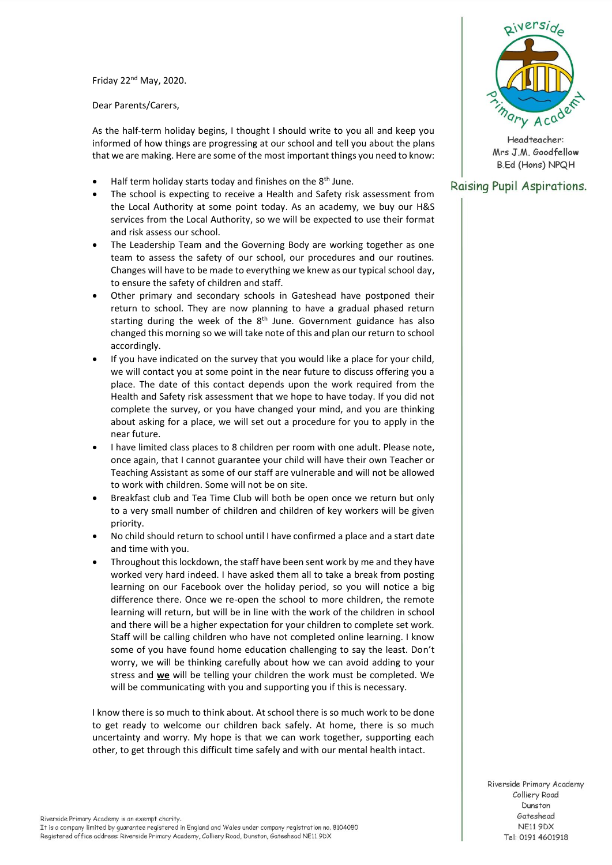Friday  $22<sup>nd</sup>$  May, 2020.

Dear Parents/Carers,

As the half-term holiday begins, I thought I should write to you all and keep you informed of how things are progressing at our school and tell you about the plans that we are making. Here are some of the most important things you need to know:

- Half term holiday starts today and finishes on the  $8<sup>th</sup>$  June.
- The school is expecting to receive a Health and Safety risk assessment from the Local Authority at some point today. As an academy, we buy our H&S services from the Local Authority, so we will be expected to use their format and risk assess our school.
- The Leadership Team and the Governing Body are working together as one team to assess the safety of our school, our procedures and our routines. Changes will have to be made to everything we knew as our typical school day, to ensure the safety of children and staff.
- Other primary and secondary schools in Gateshead have postponed their return to school. They are now planning to have a gradual phased return starting during the week of the  $8<sup>th</sup>$  June. Government guidance has also changed this morning so we will take note of this and plan our return to school accordingly.
- If you have indicated on the survey that you would like a place for your child, we will contact you at some point in the near future to discuss offering you a place. The date of this contact depends upon the work required from the Health and Safety risk assessment that we hope to have today. If you did not complete the survey, or you have changed your mind, and you are thinking about asking for a place, we will set out a procedure for you to apply in the near future.
- I have limited class places to 8 children per room with one adult. Please note, once again, that I cannot guarantee your child will have their own Teacher or Teaching Assistant as some of our staff are vulnerable and will not be allowed to work with children. Some will not be on site.
- Breakfast club and Tea Time Club will both be open once we return but only to a very small number of children and children of key workers will be given priority.
- No child should return to school until I have confirmed a place and a start date and time with you.
- Throughout this lockdown, the staff have been sent work by me and they have worked very hard indeed. I have asked them all to take a break from posting learning on our Facebook over the holiday period, so you will notice a big difference there. Once we re-open the school to more children, the remote learning will return, but will be in line with the work of the children in school and there will be a higher expectation for your children to complete set work. Staff will be calling children who have not completed online learning. I know some of you have found home education challenging to say the least. Don't worry, we will be thinking carefully about how we can avoid adding to your stress and **we** will be telling your children the work must be completed. We will be communicating with you and supporting you if this is necessary.

I know there is so much to think about. At school there is so much work to be done to get ready to welcome our children back safely. At home, there is so much uncertainty and worry. My hope is that we can work together, supporting each other, to get through this difficult time safely and with our mental health intact.



Headteacher: Mrs J.M. Goodfellow **B.Ed (Hons) NPQH** 

## Raising Pupil Aspirations.

Riverside Primary Academy Colliery Road Dunston Gateshead **NE11 9DX** Tel: 0191 4601918